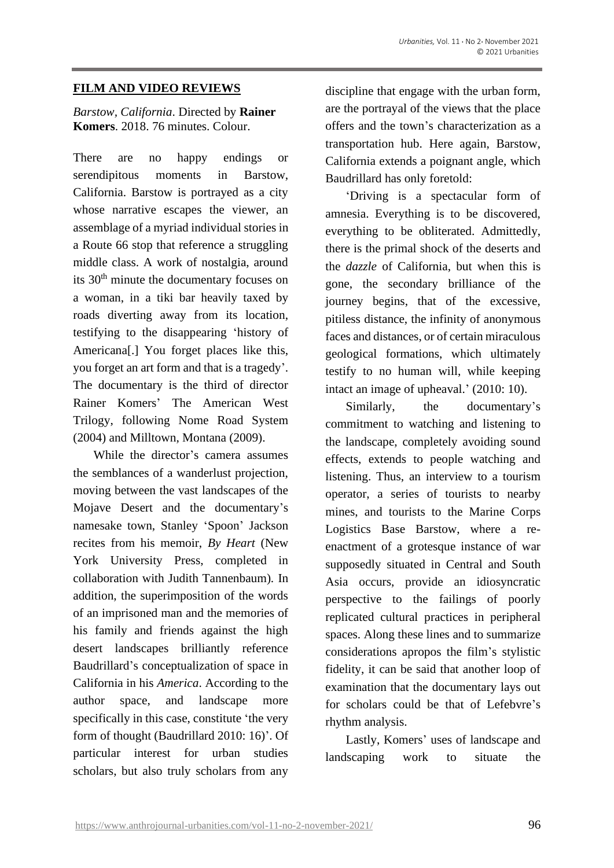## **FILM AND VIDEO REVIEWS**

## *Barstow, California*. Directed by **Rainer Komers**. 2018. 76 minutes. Colour.

There are no happy endings or serendipitous moments in Barstow, California. Barstow is portrayed as a city whose narrative escapes the viewer, an assemblage of a myriad individual stories in a Route 66 stop that reference a struggling middle class. A work of nostalgia, around its 30<sup>th</sup> minute the documentary focuses on a woman, in a tiki bar heavily taxed by roads diverting away from its location, testifying to the disappearing 'history of Americana[.] You forget places like this, you forget an art form and that is a tragedy'. The documentary is the third of director Rainer Komers' The American West Trilogy, following Nome Road System (2004) and Milltown, Montana (2009).

While the director's camera assumes the semblances of a wanderlust projection, moving between the vast landscapes of the Mojave Desert and the documentary's namesake town, Stanley 'Spoon' Jackson recites from his memoir, *By Heart* (New York University Press, completed in collaboration with Judith Tannenbaum)*.* In addition, the superimposition of the words of an imprisoned man and the memories of his family and friends against the high desert landscapes brilliantly reference Baudrillard's conceptualization of space in California in his *America*. According to the author space, and landscape more specifically in this case, constitute 'the very form of thought (Baudrillard 2010: 16)'. Of particular interest for urban studies scholars, but also truly scholars from any

discipline that engage with the urban form, are the portrayal of the views that the place offers and the town's characterization as a transportation hub. Here again, Barstow, California extends a poignant angle, which Baudrillard has only foretold:

'Driving is a spectacular form of amnesia. Everything is to be discovered, everything to be obliterated. Admittedly, there is the primal shock of the deserts and the *dazzle* of California, but when this is gone, the secondary brilliance of the journey begins, that of the excessive, pitiless distance, the infinity of anonymous faces and distances, or of certain miraculous geological formations, which ultimately testify to no human will, while keeping intact an image of upheaval.' (2010: 10).

Similarly, the documentary's commitment to watching and listening to the landscape, completely avoiding sound effects, extends to people watching and listening. Thus, an interview to a tourism operator, a series of tourists to nearby mines, and tourists to the Marine Corps Logistics Base Barstow, where a reenactment of a grotesque instance of war supposedly situated in Central and South Asia occurs, provide an idiosyncratic perspective to the failings of poorly replicated cultural practices in peripheral spaces. Along these lines and to summarize considerations apropos the film's stylistic fidelity, it can be said that another loop of examination that the documentary lays out for scholars could be that of Lefebvre's rhythm analysis.

Lastly, Komers' uses of landscape and landscaping work to situate the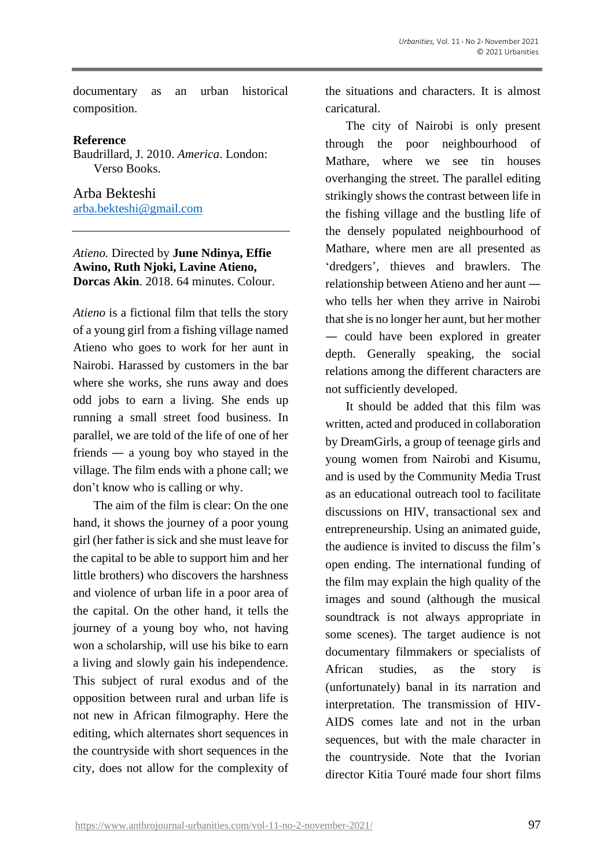documentary as an urban historical composition.

## **Reference**

Baudrillard, J. 2010. *America*. London: Verso Books.

Arba Bekteshi [arba.bekteshi@gmail.com](mailto:arba.bekteshi@gmail.com)

## *Atieno.* Directed by **June Ndinya, Effie Awino, Ruth Njoki, Lavine Atieno, Dorcas Akin**. 2018. 64 minutes. Colour.

*Atieno* is a fictional film that tells the story of a young girl from a fishing village named Atieno who goes to work for her aunt in Nairobi. Harassed by customers in the bar where she works, she runs away and does odd jobs to earn a living. She ends up running a small street food business. In parallel, we are told of the life of one of her friends — a young boy who stayed in the village. The film ends with a phone call; we don't know who is calling or why.

The aim of the film is clear: On the one hand, it shows the journey of a poor young girl (her father is sick and she must leave for the capital to be able to support him and her little brothers) who discovers the harshness and violence of urban life in a poor area of the capital. On the other hand, it tells the journey of a young boy who, not having won a scholarship, will use his bike to earn a living and slowly gain his independence. This subject of rural exodus and of the opposition between rural and urban life is not new in African filmography. Here the editing, which alternates short sequences in the countryside with short sequences in the city, does not allow for the complexity of the situations and characters. It is almost caricatural.

The city of Nairobi is only present through the poor neighbourhood of Mathare, where we see tin houses overhanging the street. The parallel editing strikingly shows the contrast between life in the fishing village and the bustling life of the densely populated neighbourhood of Mathare, where men are all presented as 'dredgers', thieves and brawlers. The relationship between Atieno and her aunt who tells her when they arrive in Nairobi thatshe is no longer her aunt, but her mother — could have been explored in greater depth. Generally speaking, the social relations among the different characters are not sufficiently developed.

It should be added that this film was written, acted and produced in collaboration by DreamGirls, a group of teenage girls and young women from Nairobi and Kisumu, and is used by the Community Media Trust as an educational outreach tool to facilitate discussions on HIV, transactional sex and entrepreneurship. Using an animated guide, the audience is invited to discuss the film's open ending. The international funding of the film may explain the high quality of the images and sound (although the musical soundtrack is not always appropriate in some scenes). The target audience is not documentary filmmakers or specialists of African studies, as the story is (unfortunately) banal in its narration and interpretation. The transmission of HIV-AIDS comes late and not in the urban sequences, but with the male character in the countryside. Note that the Ivorian director Kitia Touré made four short films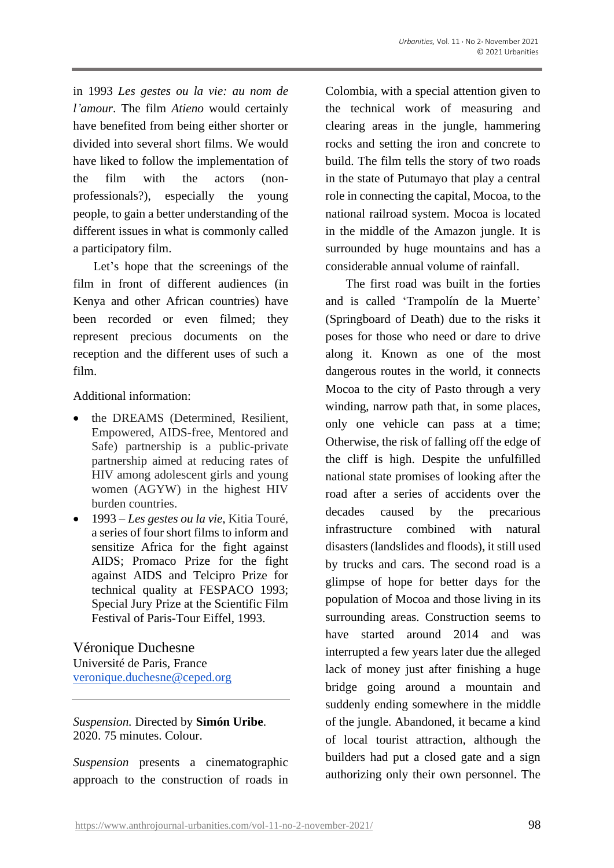in 1993 *Les gestes ou la vie: au nom de l'amour*. The film *Atieno* would certainly have benefited from being either shorter or divided into several short films. We would have liked to follow the implementation of the film with the actors (nonprofessionals?), especially the young people, to gain a better understanding of the different issues in what is commonly called a participatory film.

Let's hope that the screenings of the film in front of different audiences (in Kenya and other African countries) have been recorded or even filmed; they represent precious documents on the reception and the different uses of such a film.

Additional information:

- the DREAMS (Determined, Resilient, Empowered, AIDS-free, Mentored and Safe) partnership is a public-private partnership aimed at reducing rates of HIV among adolescent girls and young women (AGYW) in the highest HIV burden countries.
- 1993 *Les gestes ou la vie*, Kitia Touré, a series of four short films to inform and sensitize Africa for the fight against AIDS; Promaco Prize for the fight against AIDS and Telcipro Prize for technical quality at FESPACO 1993; Special Jury Prize at the Scientific Film Festival of Paris-Tour Eiffel, 1993.

Véronique Duchesne Université de Paris, France [veronique.duchesne@ceped.org](mailto:veronique.duchesne@ceped.org)

*Suspension.* Directed by **Simón Uribe**. 2020. 75 minutes. Colour.

*Suspension* presents a cinematographic approach to the construction of roads in Colombia, with a special attention given to the technical work of measuring and clearing areas in the jungle, hammering rocks and setting the iron and concrete to build. The film tells the story of two roads in the state of Putumayo that play a central role in connecting the capital, Mocoa, to the national railroad system. Mocoa is located in the middle of the Amazon jungle. It is surrounded by huge mountains and has a considerable annual volume of rainfall.

The first road was built in the forties and is called 'Trampolín de la Muerte' (Springboard of Death) due to the risks it poses for those who need or dare to drive along it. Known as one of the most dangerous routes in the world, it connects Mocoa to the city of Pasto through a very winding, narrow path that, in some places, only one vehicle can pass at a time; Otherwise, the risk of falling off the edge of the cliff is high. Despite the unfulfilled national state promises of looking after the road after a series of accidents over the decades caused by the precarious infrastructure combined with natural disasters (landslides and floods), it still used by trucks and cars. The second road is a glimpse of hope for better days for the population of Mocoa and those living in its surrounding areas. Construction seems to have started around 2014 and was interrupted a few years later due the alleged lack of money just after finishing a huge bridge going around a mountain and suddenly ending somewhere in the middle of the jungle. Abandoned, it became a kind of local tourist attraction, although the builders had put a closed gate and a sign authorizing only their own personnel. The